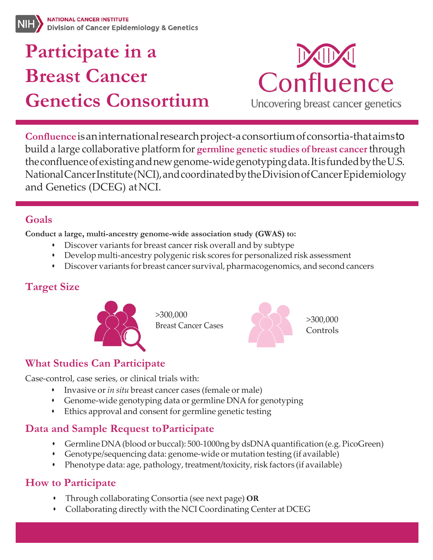# **Participate in a Breast Cancer Genetics Consortium**



Uncovering breast cancer genetics

**Confluence**isaninternationalresearchproject-a consortiumofconsortia-thataimsto build a large collaborative platform for **germline genetic studies of breast cancer** through theconfluenceofexistingandnewgenome-widegenotypingdata.ItisfundedbytheU.S. NationalCancerInstitute(NCI),andcoordinatedbytheDivisionofCancerEpidemiology and Genetics (DCEG) atNCI.

#### **Goals**

**Conduct a large, multi-ancestry genome-wide association study (GWAS) to:**

- Discover variants for breast cancer risk overall and by subtype
- Develop multi-ancestry polygenic risk scores for personalized risk assessment
- Discover variants for breast cancer survival, pharmacogenomics, and second cancers

### **Target Size**



>300,000



#### **What Studies Can Participate**

Case-control, case series, or clinical trials with:

- Invasive or *in situ* breast cancer cases (female or male)
- Genome-wide genotyping data or germline DNA for genotyping
- Ethics approval and consent for germline genetic testing

#### **Data and Sample Request toParticipate**

- Germline DNA (blood or buccal): 500-1000ng by dsDNA quantification (e.g. PicoGreen)
- Genotype/sequencing data: genome-wide or mutation testing (if available)
- Phenotype data: age, pathology, treatment/toxicity, risk factors (if available)

#### **How to Participate**

- Through collaborating Consortia (see next page) **OR**
- Collaborating directly with the NCI Coordinating Center at DCEG